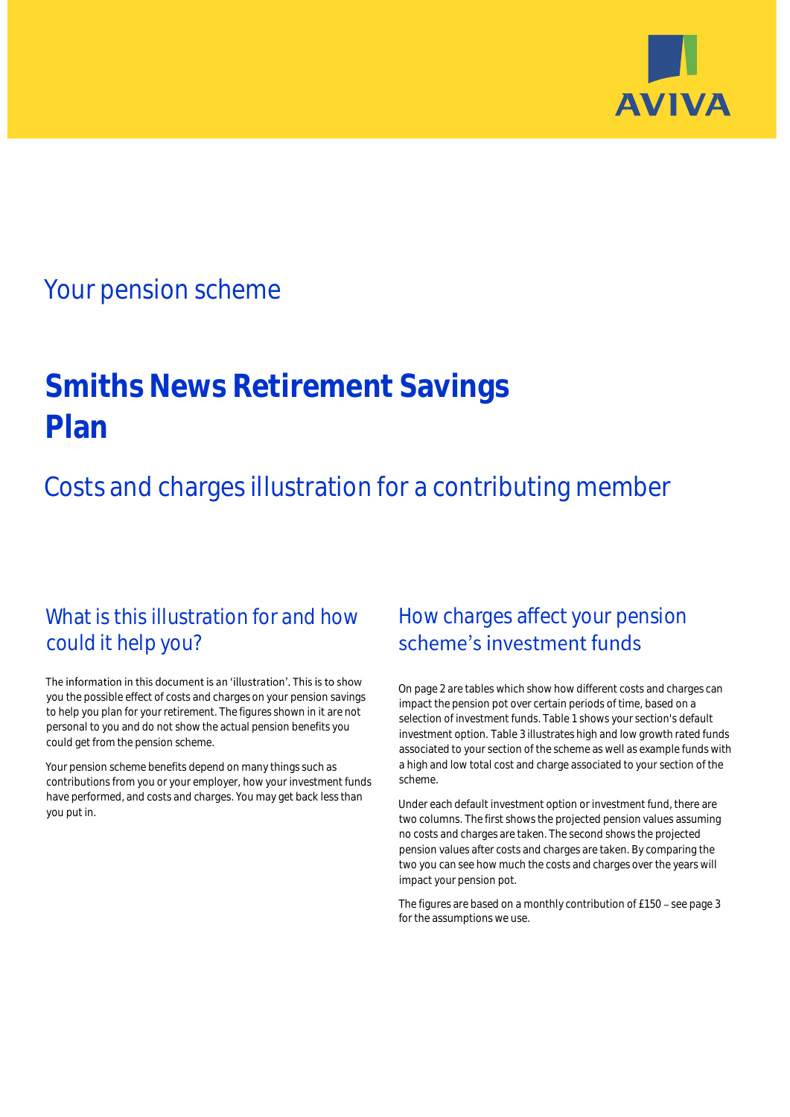

# Your pension scheme

# **Smiths News Retirement Savings Plan**

Costs and charges illustration for a contributing member

# What is this illustration for and how could it help you?

#### The information in this document is an 'illustration'. This is to show you the possible effect of costs and charges on your pension savings to help you plan for your retirement. The figures shown in it are not personal to you and do not show the actual pension benefits you could get from the pension scheme.

Your pension scheme benefits depend on many things such as contributions from you or your employer, how your investment funds have performed, and costs and charges. You may get back less than you put in.

# How charges affect your pension scheme's investment funds

On page 2 are tables which show how different costs and charges can impact the pension pot over certain periods of time, based on a selection of investment funds. Table 1 shows your section's default investment option. Table 3 illustrates high and low growth rated funds associated to your section of the scheme as well as example funds with a high and low total cost and charge associated to your section of the scheme.

Under each default investment option or investment fund, there are two columns. The first shows the projected pension values assuming no costs and charges are taken. The second shows the projected pension values after costs and charges are taken. By comparing the two you can see how much the costs and charges over the years will impact your pension pot.

The figures are based on a monthly contribution of £150 - see page 3 for the assumptions we use.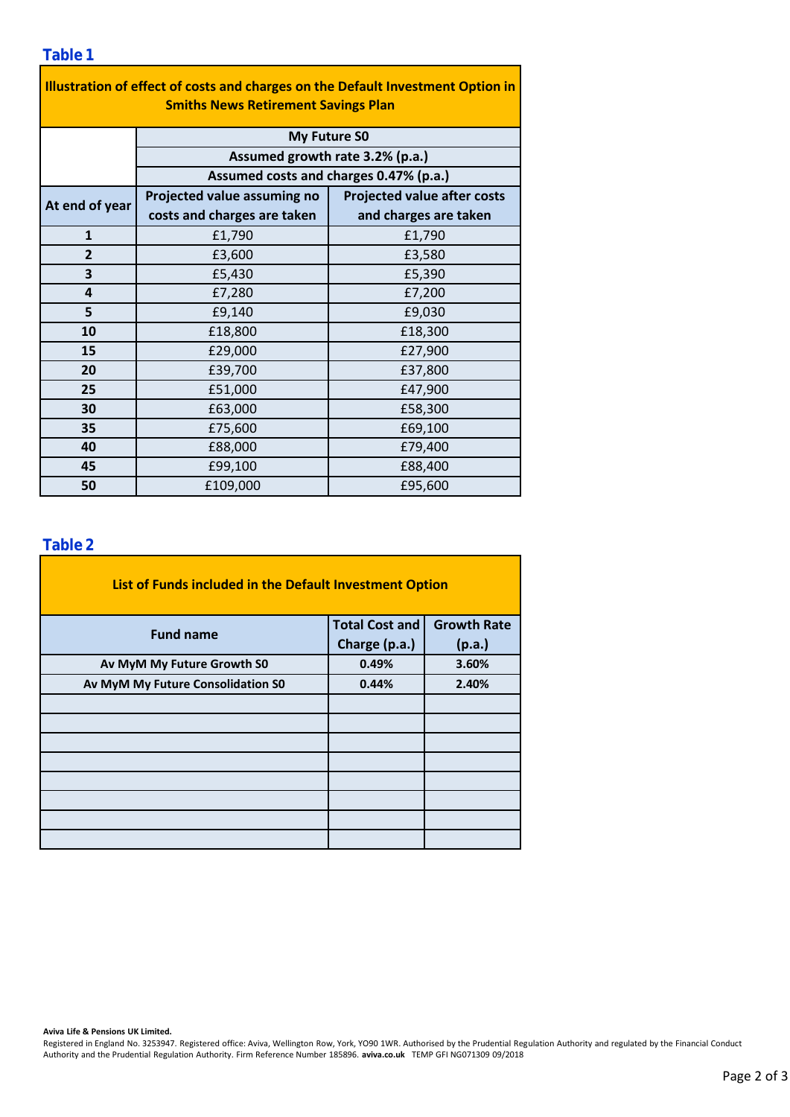### **Table 1**

| Illustration of effect of costs and charges on the Default Investment Option in |                                        |                                    |  |  |  |  |  |  |  |
|---------------------------------------------------------------------------------|----------------------------------------|------------------------------------|--|--|--|--|--|--|--|
| <b>Smiths News Retirement Savings Plan</b>                                      |                                        |                                    |  |  |  |  |  |  |  |
|                                                                                 | <b>My Future SO</b>                    |                                    |  |  |  |  |  |  |  |
|                                                                                 | Assumed growth rate 3.2% (p.a.)        |                                    |  |  |  |  |  |  |  |
|                                                                                 | Assumed costs and charges 0.47% (p.a.) |                                    |  |  |  |  |  |  |  |
| At end of year                                                                  | Projected value assuming no            | <b>Projected value after costs</b> |  |  |  |  |  |  |  |
|                                                                                 | costs and charges are taken            | and charges are taken              |  |  |  |  |  |  |  |
| $\mathbf{1}$                                                                    | £1,790                                 | £1,790                             |  |  |  |  |  |  |  |
| $\overline{2}$                                                                  | £3,600                                 | £3,580                             |  |  |  |  |  |  |  |
| 3                                                                               | £5,430                                 | £5,390                             |  |  |  |  |  |  |  |
| 4                                                                               | £7,280                                 | £7,200                             |  |  |  |  |  |  |  |
| 5                                                                               | £9,140                                 | £9,030                             |  |  |  |  |  |  |  |
| 10                                                                              | £18,800                                | £18,300                            |  |  |  |  |  |  |  |
| 15                                                                              | £29,000                                | £27,900                            |  |  |  |  |  |  |  |
| 20                                                                              | £39,700                                | £37,800                            |  |  |  |  |  |  |  |
| 25                                                                              | £51,000                                | £47,900                            |  |  |  |  |  |  |  |
| 30                                                                              | £63,000                                | £58,300                            |  |  |  |  |  |  |  |
| 35                                                                              | £75,600                                | £69,100                            |  |  |  |  |  |  |  |
| 40                                                                              | £88,000                                | £79,400                            |  |  |  |  |  |  |  |
| 45                                                                              | £99,100                                | £88,400                            |  |  |  |  |  |  |  |
| 50                                                                              | £109,000                               | £95,600                            |  |  |  |  |  |  |  |

### **Table 2**

| List of Funds included in the Default Investment Option |                       |                    |
|---------------------------------------------------------|-----------------------|--------------------|
| <b>Fund name</b>                                        | <b>Total Cost and</b> | <b>Growth Rate</b> |
|                                                         | Charge (p.a.)         | (p.a.)             |
| Av MyM My Future Growth S0                              | 0.49%                 | 3.60%              |
| Av MyM My Future Consolidation S0                       | 0.44%                 | 2.40%              |
|                                                         |                       |                    |
|                                                         |                       |                    |
|                                                         |                       |                    |
|                                                         |                       |                    |
|                                                         |                       |                    |
|                                                         |                       |                    |
|                                                         |                       |                    |
|                                                         |                       |                    |

#### **Aviva Life & Pensions UK Limited.**

Registered in England No. 3253947. Registered office: Aviva, Wellington Row, York, YO90 1WR. Authorised by the Prudential Regulation Authority and regulated by the Financial Conduct Authority and the Prudential Regulation Authority. Firm Reference Number 185896. **aviva.co.uk** TEMP GFI NG071309 09/2018